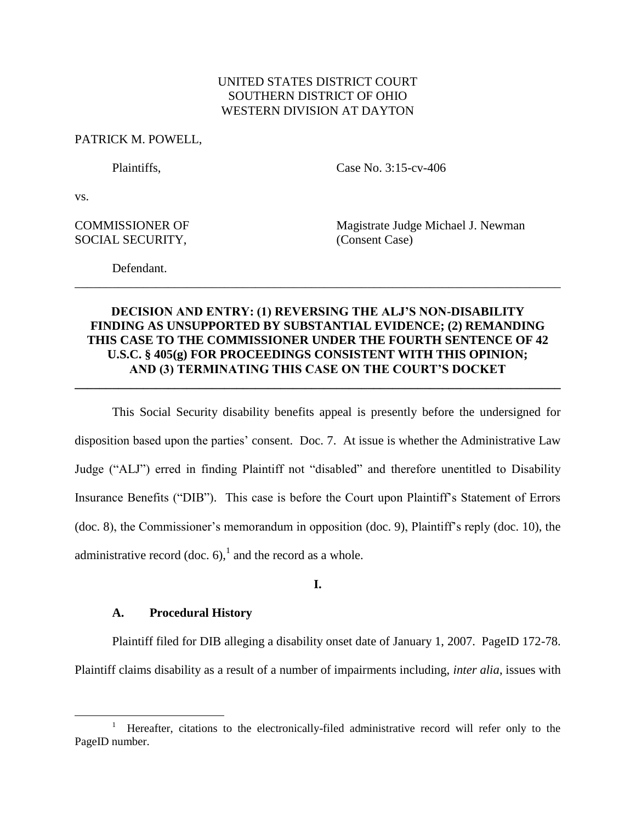# UNITED STATES DISTRICT COURT SOUTHERN DISTRICT OF OHIO WESTERN DIVISION AT DAYTON

## PATRICK M. POWELL,

Plaintiffs. Case No. 3:15-cv-406

vs.

 $\overline{a}$ 

# SOCIAL SECURITY, (Consent Case)

COMMISSIONER OF Magistrate Judge Michael J. Newman

Defendant. \_\_\_\_\_\_\_\_\_\_\_\_\_\_\_\_\_\_\_\_\_\_\_\_\_\_\_\_\_\_\_\_\_\_\_\_\_\_\_\_\_\_\_\_\_\_\_\_\_\_\_\_\_\_\_\_\_\_\_\_\_\_\_\_\_\_\_\_\_\_\_\_\_\_\_\_\_\_

# **DECISION AND ENTRY: (1) REVERSING THE ALJ'S NON-DISABILITY FINDING AS UNSUPPORTED BY SUBSTANTIAL EVIDENCE; (2) REMANDING THIS CASE TO THE COMMISSIONER UNDER THE FOURTH SENTENCE OF 42 U.S.C. § 405(g) FOR PROCEEDINGS CONSISTENT WITH THIS OPINION; AND (3) TERMINATING THIS CASE ON THE COURT'S DOCKET**

**\_\_\_\_\_\_\_\_\_\_\_\_\_\_\_\_\_\_\_\_\_\_\_\_\_\_\_\_\_\_\_\_\_\_\_\_\_\_\_\_\_\_\_\_\_\_\_\_\_\_\_\_\_\_\_\_\_\_\_\_\_\_\_\_\_\_\_\_\_\_\_\_\_\_\_\_\_\_**

This Social Security disability benefits appeal is presently before the undersigned for disposition based upon the parties' consent. Doc. 7. At issue is whether the Administrative Law Judge ("ALJ") erred in finding Plaintiff not "disabled" and therefore unentitled to Disability Insurance Benefits ("DIB"). This case is before the Court upon Plaintiff's Statement of Errors (doc. 8), the Commissioner's memorandum in opposition (doc. 9), Plaintiff's reply (doc. 10), the administrative record (doc. 6),<sup>1</sup> and the record as a whole.

**I.**

## **A. Procedural History**

Plaintiff filed for DIB alleging a disability onset date of January 1, 2007. PageID 172-78. Plaintiff claims disability as a result of a number of impairments including, *inter alia*, issues with

<sup>1</sup> Hereafter, citations to the electronically-filed administrative record will refer only to the PageID number.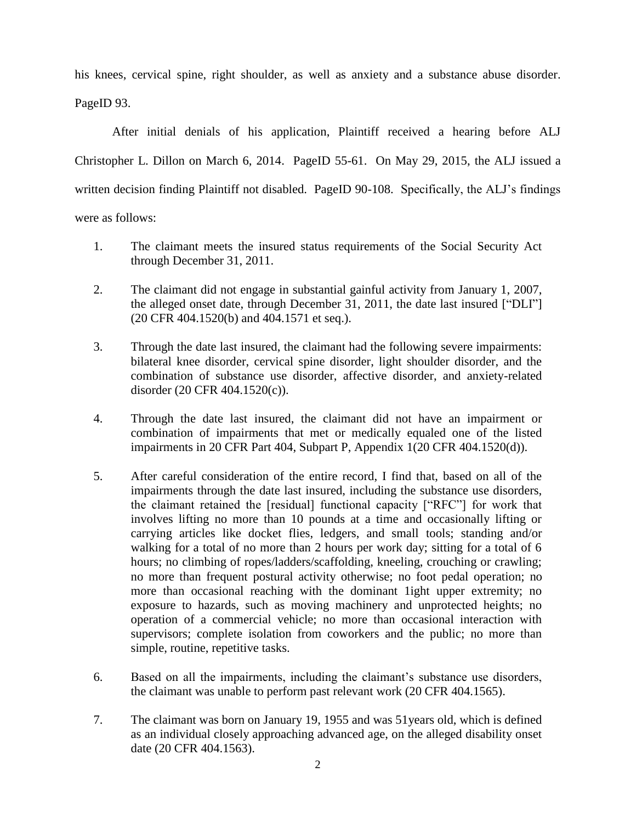his knees, cervical spine, right shoulder, as well as anxiety and a substance abuse disorder. PageID 93.

After initial denials of his application, Plaintiff received a hearing before ALJ Christopher L. Dillon on March 6, 2014. PageID 55-61. On May 29, 2015, the ALJ issued a written decision finding Plaintiff not disabled. PageID 90-108. Specifically, the ALJ's findings were as follows:

- 1. The claimant meets the insured status requirements of the Social Security Act through December 31, 2011.
- 2. The claimant did not engage in substantial gainful activity from January 1, 2007, the alleged onset date, through December 31, 2011, the date last insured ["DLI"] (20 CFR 404.1520(b) and 404.1571 et seq.).
- 3. Through the date last insured, the claimant had the following severe impairments: bilateral knee disorder, cervical spine disorder, light shoulder disorder, and the combination of substance use disorder, affective disorder, and anxiety-related disorder (20 CFR 404.1520(c)).
- 4. Through the date last insured, the claimant did not have an impairment or combination of impairments that met or medically equaled one of the listed impairments in 20 CFR Part 404, Subpart P, Appendix 1(20 CFR 404.1520(d)).
- 5. After careful consideration of the entire record, I find that, based on all of the impairments through the date last insured, including the substance use disorders, the claimant retained the [residual] functional capacity ["RFC"] for work that involves lifting no more than 10 pounds at a time and occasionally lifting or carrying articles like docket flies, ledgers, and small tools; standing and/or walking for a total of no more than 2 hours per work day; sitting for a total of 6 hours; no climbing of ropes/ladders/scaffolding, kneeling, crouching or crawling; no more than frequent postural activity otherwise; no foot pedal operation; no more than occasional reaching with the dominant 1ight upper extremity; no exposure to hazards, such as moving machinery and unprotected heights; no operation of a commercial vehicle; no more than occasional interaction with supervisors; complete isolation from coworkers and the public; no more than simple, routine, repetitive tasks.
- 6. Based on all the impairments, including the claimant's substance use disorders, the claimant was unable to perform past relevant work (20 CFR 404.1565).
- 7. The claimant was born on January 19, 1955 and was 51years old, which is defined as an individual closely approaching advanced age, on the alleged disability onset date (20 CFR 404.1563).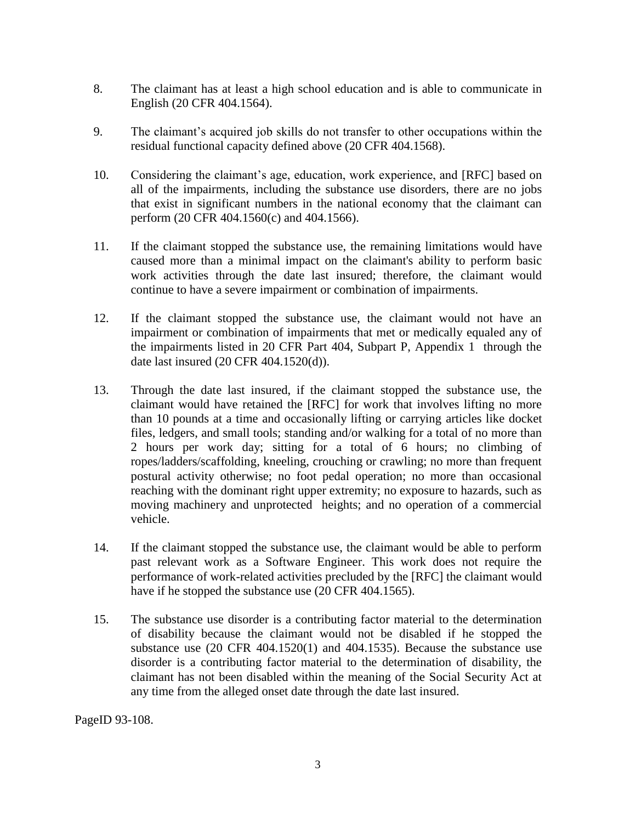- 8. The claimant has at least a high school education and is able to communicate in English (20 CFR 404.1564).
- 9. The claimant's acquired job skills do not transfer to other occupations within the residual functional capacity defined above (20 CFR 404.1568).
- 10. Considering the claimant's age, education, work experience, and [RFC] based on all of the impairments, including the substance use disorders, there are no jobs that exist in significant numbers in the national economy that the claimant can perform (20 CFR 404.1560(c) and 404.1566).
- 11. If the claimant stopped the substance use, the remaining limitations would have caused more than a minimal impact on the claimant's ability to perform basic work activities through the date last insured; therefore, the claimant would continue to have a severe impairment or combination of impairments.
- 12. If the claimant stopped the substance use, the claimant would not have an impairment or combination of impairments that met or medically equaled any of the impairments listed in 20 CFR Part 404, Subpart P, Appendix 1 through the date last insured (20 CFR 404.1520(d)).
- 13. Through the date last insured, if the claimant stopped the substance use, the claimant would have retained the [RFC] for work that involves lifting no more than 10 pounds at a time and occasionally lifting or carrying articles like docket files, ledgers, and small tools; standing and/or walking for a total of no more than 2 hours per work day; sitting for a total of 6 hours; no climbing of ropes/ladders/scaffolding, kneeling, crouching or crawling; no more than frequent postural activity otherwise; no foot pedal operation; no more than occasional reaching with the dominant right upper extremity; no exposure to hazards, such as moving machinery and unprotected heights; and no operation of a commercial vehicle.
- 14. If the claimant stopped the substance use, the claimant would be able to perform past relevant work as a Software Engineer. This work does not require the performance of work-related activities precluded by the [RFC] the claimant would have if he stopped the substance use (20 CFR 404.1565).
- 15. The substance use disorder is a contributing factor material to the determination of disability because the claimant would not be disabled if he stopped the substance use (20 CFR 404.1520(1) and 404.1535). Because the substance use disorder is a contributing factor material to the determination of disability, the claimant has not been disabled within the meaning of the Social Security Act at any time from the alleged onset date through the date last insured.

PageID 93-108.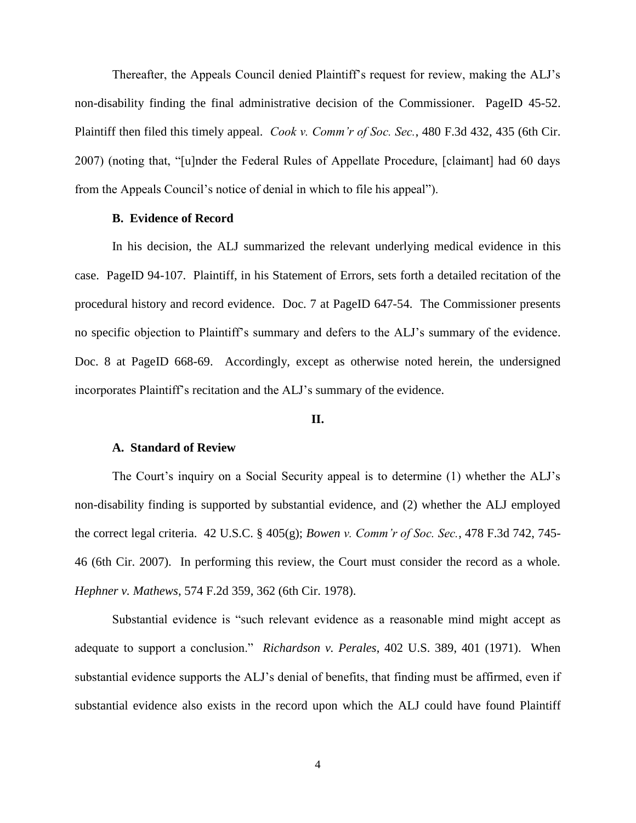Thereafter, the Appeals Council denied Plaintiff's request for review, making the ALJ's non-disability finding the final administrative decision of the Commissioner. PageID 45-52. Plaintiff then filed this timely appeal. *Cook v. Comm'r of Soc. Sec.*, 480 F.3d 432, 435 (6th Cir. 2007) (noting that, "[u]nder the Federal Rules of Appellate Procedure, [claimant] had 60 days from the Appeals Council's notice of denial in which to file his appeal").

## **B. Evidence of Record**

In his decision, the ALJ summarized the relevant underlying medical evidence in this case. PageID 94-107. Plaintiff, in his Statement of Errors, sets forth a detailed recitation of the procedural history and record evidence. Doc. 7 at PageID 647-54. The Commissioner presents no specific objection to Plaintiff's summary and defers to the ALJ's summary of the evidence. Doc. 8 at PageID 668-69. Accordingly, except as otherwise noted herein, the undersigned incorporates Plaintiff's recitation and the ALJ's summary of the evidence.

## **II.**

#### **A. Standard of Review**

The Court's inquiry on a Social Security appeal is to determine (1) whether the ALJ's non-disability finding is supported by substantial evidence, and (2) whether the ALJ employed the correct legal criteria. 42 U.S.C. § 405(g); *Bowen v. Comm'r of Soc. Sec.*, 478 F.3d 742, 745- 46 (6th Cir. 2007). In performing this review, the Court must consider the record as a whole. *Hephner v. Mathews*, 574 F.2d 359, 362 (6th Cir. 1978).

Substantial evidence is "such relevant evidence as a reasonable mind might accept as adequate to support a conclusion." *Richardson v. Perales*, 402 U.S. 389, 401 (1971). When substantial evidence supports the ALJ's denial of benefits, that finding must be affirmed, even if substantial evidence also exists in the record upon which the ALJ could have found Plaintiff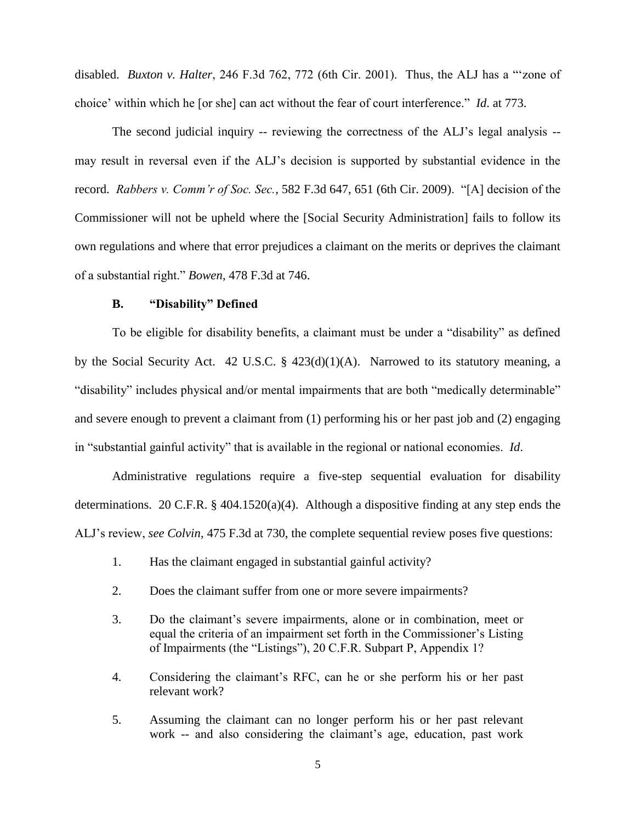disabled. *Buxton v. Halter*, 246 F.3d 762, 772 (6th Cir. 2001). Thus, the ALJ has a "'zone of choice' within which he [or she] can act without the fear of court interference." *Id*. at 773.

The second judicial inquiry -- reviewing the correctness of the ALJ's legal analysis - may result in reversal even if the ALJ's decision is supported by substantial evidence in the record. *Rabbers v. Comm'r of Soc. Sec.*, 582 F.3d 647, 651 (6th Cir. 2009). "[A] decision of the Commissioner will not be upheld where the [Social Security Administration] fails to follow its own regulations and where that error prejudices a claimant on the merits or deprives the claimant of a substantial right." *Bowen*, 478 F.3d at 746.

## **B. "Disability" Defined**

To be eligible for disability benefits, a claimant must be under a "disability" as defined by the Social Security Act. 42 U.S.C. § 423(d)(1)(A). Narrowed to its statutory meaning, a "disability" includes physical and/or mental impairments that are both "medically determinable" and severe enough to prevent a claimant from (1) performing his or her past job and (2) engaging in "substantial gainful activity" that is available in the regional or national economies. *Id*.

Administrative regulations require a five-step sequential evaluation for disability determinations. 20 C.F.R. § 404.1520(a)(4). Although a dispositive finding at any step ends the ALJ's review, *see Colvin*, 475 F.3d at 730, the complete sequential review poses five questions:

- 1. Has the claimant engaged in substantial gainful activity?
- 2. Does the claimant suffer from one or more severe impairments?
- 3. Do the claimant's severe impairments, alone or in combination, meet or equal the criteria of an impairment set forth in the Commissioner's Listing of Impairments (the "Listings"), 20 C.F.R. Subpart P, Appendix 1?
- 4. Considering the claimant's RFC, can he or she perform his or her past relevant work?
- 5. Assuming the claimant can no longer perform his or her past relevant work -- and also considering the claimant's age, education, past work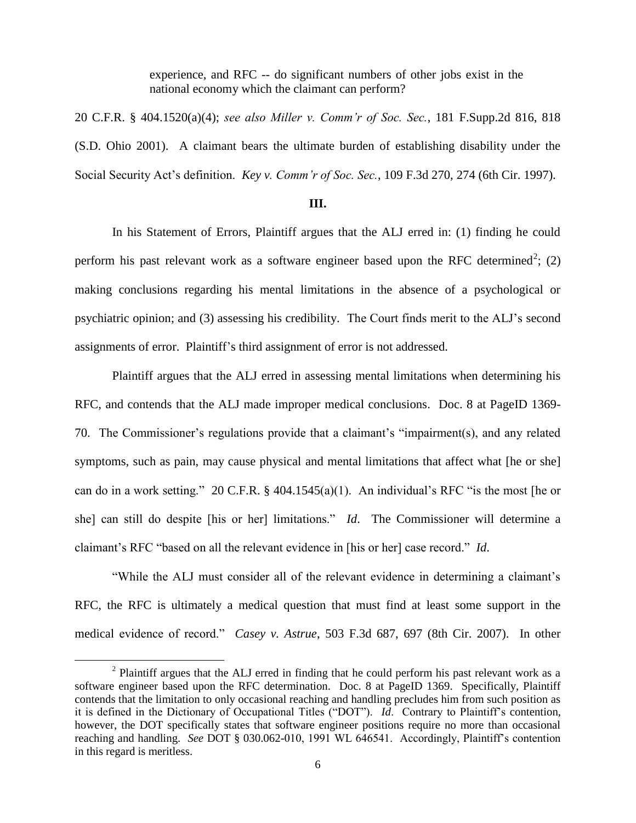experience, and RFC -- do significant numbers of other jobs exist in the national economy which the claimant can perform?

20 C.F.R. § 404.1520(a)(4); *see also Miller v. Comm'r of Soc. Sec.*, 181 F.Supp.2d 816, 818 (S.D. Ohio 2001). A claimant bears the ultimate burden of establishing disability under the Social Security Act's definition. *Key v. Comm'r of Soc. Sec.*, 109 F.3d 270, 274 (6th Cir. 1997).

#### **III.**

In his Statement of Errors, Plaintiff argues that the ALJ erred in: (1) finding he could perform his past relevant work as a software engineer based upon the RFC determined<sup>2</sup>; (2) making conclusions regarding his mental limitations in the absence of a psychological or psychiatric opinion; and (3) assessing his credibility. The Court finds merit to the ALJ's second assignments of error. Plaintiff's third assignment of error is not addressed.

Plaintiff argues that the ALJ erred in assessing mental limitations when determining his RFC, and contends that the ALJ made improper medical conclusions. Doc. 8 at PageID 1369- 70. The Commissioner's regulations provide that a claimant's "impairment(s), and any related symptoms, such as pain, may cause physical and mental limitations that affect what [he or she] can do in a work setting." 20 C.F.R. § 404.1545(a)(1). An individual's RFC "is the most [he or she] can still do despite [his or her] limitations." *Id*. The Commissioner will determine a claimant's RFC "based on all the relevant evidence in [his or her] case record." *Id*.

"While the ALJ must consider all of the relevant evidence in determining a claimant's RFC, the RFC is ultimately a medical question that must find at least some support in the medical evidence of record." *Casey v. Astrue*, 503 F.3d 687, 697 (8th Cir. 2007). In other

 $\overline{a}$ 

 $2$  Plaintiff argues that the ALJ erred in finding that he could perform his past relevant work as a software engineer based upon the RFC determination. Doc. 8 at PageID 1369. Specifically, Plaintiff contends that the limitation to only occasional reaching and handling precludes him from such position as it is defined in the Dictionary of Occupational Titles ("DOT"). *Id*. Contrary to Plaintiff's contention, however, the DOT specifically states that software engineer positions require no more than occasional reaching and handling. *See* DOT § 030.062-010, 1991 WL 646541. Accordingly, Plaintiff's contention in this regard is meritless.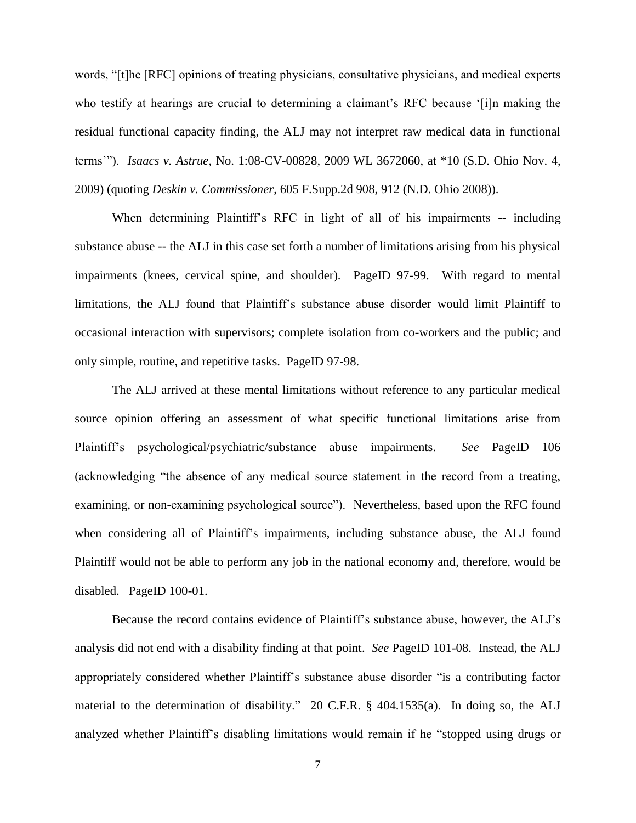words, "[t]he [RFC] opinions of treating physicians, consultative physicians, and medical experts who testify at hearings are crucial to determining a claimant's RFC because '[i]n making the residual functional capacity finding, the ALJ may not interpret raw medical data in functional terms'"). *Isaacs v. Astrue*, No. 1:08-CV-00828, 2009 WL 3672060, at \*10 (S.D. Ohio Nov. 4, 2009) (quoting *Deskin v. Commissioner*, 605 F.Supp.2d 908, 912 (N.D. Ohio 2008)).

When determining Plaintiff's RFC in light of all of his impairments -- including substance abuse -- the ALJ in this case set forth a number of limitations arising from his physical impairments (knees, cervical spine, and shoulder). PageID 97-99. With regard to mental limitations, the ALJ found that Plaintiff's substance abuse disorder would limit Plaintiff to occasional interaction with supervisors; complete isolation from co-workers and the public; and only simple, routine, and repetitive tasks. PageID 97-98.

The ALJ arrived at these mental limitations without reference to any particular medical source opinion offering an assessment of what specific functional limitations arise from Plaintiff's psychological/psychiatric/substance abuse impairments. *See* PageID 106 (acknowledging "the absence of any medical source statement in the record from a treating, examining, or non-examining psychological source"). Nevertheless, based upon the RFC found when considering all of Plaintiff's impairments, including substance abuse, the ALJ found Plaintiff would not be able to perform any job in the national economy and, therefore, would be disabled. PageID 100-01.

Because the record contains evidence of Plaintiff's substance abuse, however, the ALJ's analysis did not end with a disability finding at that point. *See* PageID 101-08. Instead, the ALJ appropriately considered whether Plaintiff's substance abuse disorder "is a contributing factor material to the determination of disability." 20 C.F.R. § 404.1535(a). In doing so, the ALJ analyzed whether Plaintiff's disabling limitations would remain if he "stopped using drugs or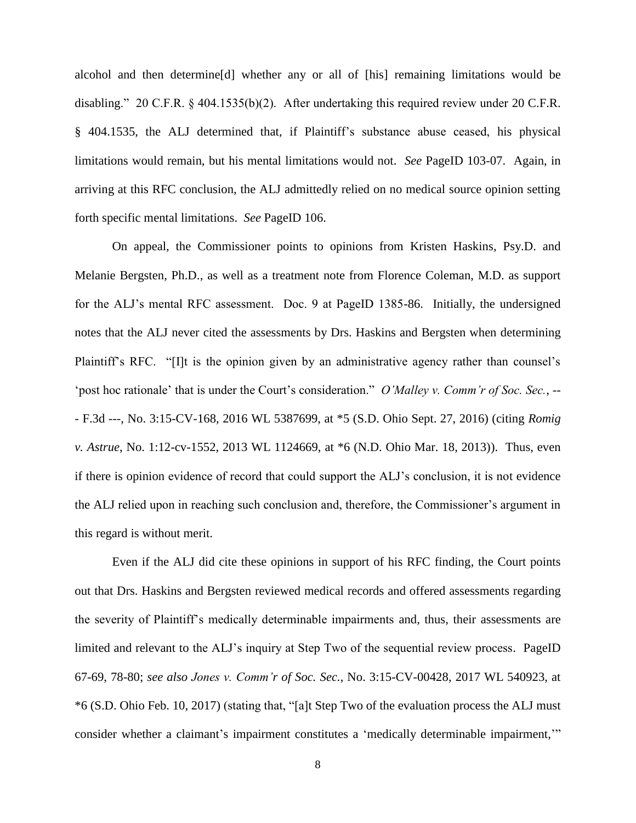alcohol and then determine[d] whether any or all of [his] remaining limitations would be disabling." 20 C.F.R. § 404.1535(b)(2). After undertaking this required review under 20 C.F.R. § 404.1535, the ALJ determined that, if Plaintiff's substance abuse ceased, his physical limitations would remain, but his mental limitations would not. *See* PageID 103-07. Again, in arriving at this RFC conclusion, the ALJ admittedly relied on no medical source opinion setting forth specific mental limitations. *See* PageID 106.

On appeal, the Commissioner points to opinions from Kristen Haskins, Psy.D. and Melanie Bergsten, Ph.D., as well as a treatment note from Florence Coleman, M.D. as support for the ALJ's mental RFC assessment. Doc. 9 at PageID 1385-86. Initially, the undersigned notes that the ALJ never cited the assessments by Drs. Haskins and Bergsten when determining Plaintiff's RFC. "[I]t is the opinion given by an administrative agency rather than counsel's 'post hoc rationale' that is under the Court's consideration." *O'Malley v. Comm'r of Soc. Sec.*, -- - F.3d ---, No. 3:15-CV-168, 2016 WL 5387699, at \*5 (S.D. Ohio Sept. 27, 2016) (citing *Romig v. Astrue*, No. 1:12-cv-1552, 2013 WL 1124669, at \*6 (N.D. Ohio Mar. 18, 2013)). Thus, even if there is opinion evidence of record that could support the ALJ's conclusion, it is not evidence the ALJ relied upon in reaching such conclusion and, therefore, the Commissioner's argument in this regard is without merit.

Even if the ALJ did cite these opinions in support of his RFC finding, the Court points out that Drs. Haskins and Bergsten reviewed medical records and offered assessments regarding the severity of Plaintiff's medically determinable impairments and, thus, their assessments are limited and relevant to the ALJ's inquiry at Step Two of the sequential review process. PageID 67-69, 78-80; *see also Jones v. Comm'r of Soc. Sec.*, No. 3:15-CV-00428, 2017 WL 540923, at \*6 (S.D. Ohio Feb. 10, 2017) (stating that, "[a]t Step Two of the evaluation process the ALJ must consider whether a claimant's impairment constitutes a 'medically determinable impairment,'"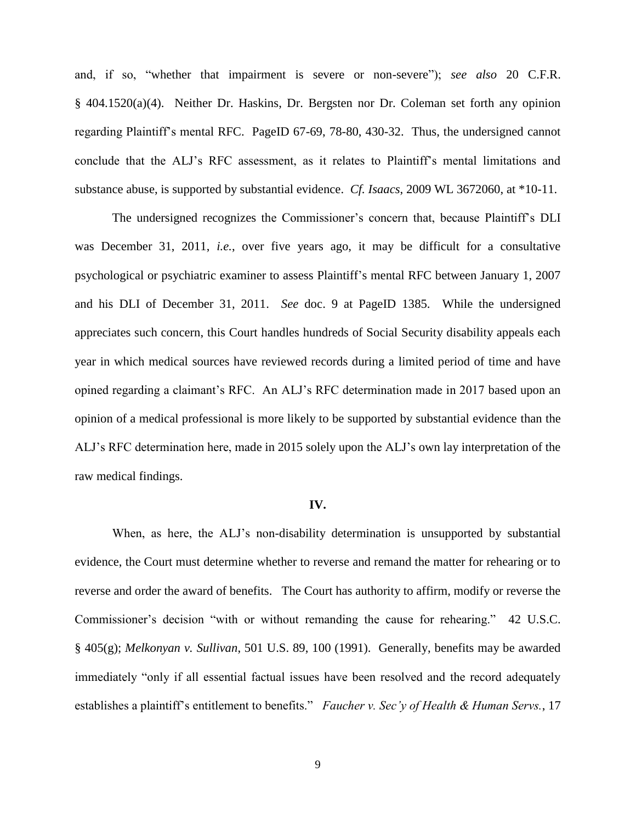and, if so, "whether that impairment is severe or non-severe"); *see also* 20 C.F.R. § 404.1520(a)(4). Neither Dr. Haskins, Dr. Bergsten nor Dr. Coleman set forth any opinion regarding Plaintiff's mental RFC. PageID 67-69, 78-80, 430-32. Thus, the undersigned cannot conclude that the ALJ's RFC assessment, as it relates to Plaintiff's mental limitations and substance abuse, is supported by substantial evidence. *Cf. Isaacs*, 2009 WL 3672060, at \*10-11.

The undersigned recognizes the Commissioner's concern that, because Plaintiff's DLI was December 31, 2011, *i.e.*, over five years ago, it may be difficult for a consultative psychological or psychiatric examiner to assess Plaintiff's mental RFC between January 1, 2007 and his DLI of December 31, 2011. *See* doc. 9 at PageID 1385. While the undersigned appreciates such concern, this Court handles hundreds of Social Security disability appeals each year in which medical sources have reviewed records during a limited period of time and have opined regarding a claimant's RFC. An ALJ's RFC determination made in 2017 based upon an opinion of a medical professional is more likely to be supported by substantial evidence than the ALJ's RFC determination here, made in 2015 solely upon the ALJ's own lay interpretation of the raw medical findings.

## **IV.**

When, as here, the ALJ's non-disability determination is unsupported by substantial evidence, the Court must determine whether to reverse and remand the matter for rehearing or to reverse and order the award of benefits. The Court has authority to affirm, modify or reverse the Commissioner's decision "with or without remanding the cause for rehearing." 42 U.S.C. § 405(g); *Melkonyan v. Sullivan*, 501 U.S. 89, 100 (1991). Generally, benefits may be awarded immediately "only if all essential factual issues have been resolved and the record adequately establishes a plaintiff's entitlement to benefits." *Faucher v. Sec'y of Health & Human Servs.*, 17